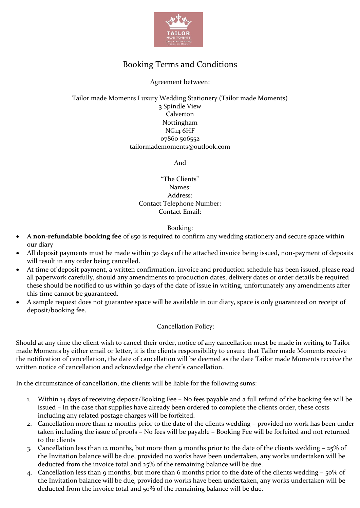

# Booking Terms and Conditions

# Agreement between:

# Tailor made Moments Luxury Wedding Stationery (Tailor made Moments) 3 Spindle View Calverton Nottingham NG14 6HF 07860 506552 tailormademoments@outlook.com

And

"The Clients" Names: Address: Contact Telephone Number: Contact Email:

# Booking:

- A **non-refundable booking fee** of £50 is required to confirm any wedding stationery and secure space within our diary
- All deposit payments must be made within 30 days of the attached invoice being issued, non-payment of deposits will result in any order being cancelled.
- At time of deposit payment, a written confirmation, invoice and production schedule has been issued, please read all paperwork carefully, should any amendments to production dates, delivery dates or order details be required these should be notified to us within 30 days of the date of issue in writing, unfortunately any amendments after this time cannot be guaranteed.
- A sample request does not guarantee space will be available in our diary, space is only guaranteed on receipt of deposit/booking fee.

# Cancellation Policy:

Should at any time the client wish to cancel their order, notice of any cancellation must be made in writing to Tailor made Moments by either email or letter, it is the clients responsibility to ensure that Tailor made Moments receive the notification of cancellation, the date of cancellation will be deemed as the date Tailor made Moments receive the written notice of cancellation and acknowledge the client's cancellation.

In the circumstance of cancellation, the clients will be liable for the following sums:

- 1. Within 14 days of receiving deposit/Booking Fee No fees payable and a full refund of the booking fee will be issued – In the case that supplies have already been ordered to complete the clients order, these costs including any related postage charges will be forfeited.
- 2. Cancellation more than 12 months prior to the date of the clients wedding provided no work has been under taken including the issue of proofs – No fees will be payable – Booking Fee will be forfeited and not returned to the clients
- 3. Cancellation less than 12 months, but more than 9 months prior to the date of the clients wedding 25% of the Invitation balance will be due, provided no works have been undertaken, any works undertaken will be deducted from the invoice total and 25% of the remaining balance will be due.
- 4. Cancellation less than 9 months, but more than 6 months prior to the date of the clients wedding 50% of the Invitation balance will be due, provided no works have been undertaken, any works undertaken will be deducted from the invoice total and 50% of the remaining balance will be due.